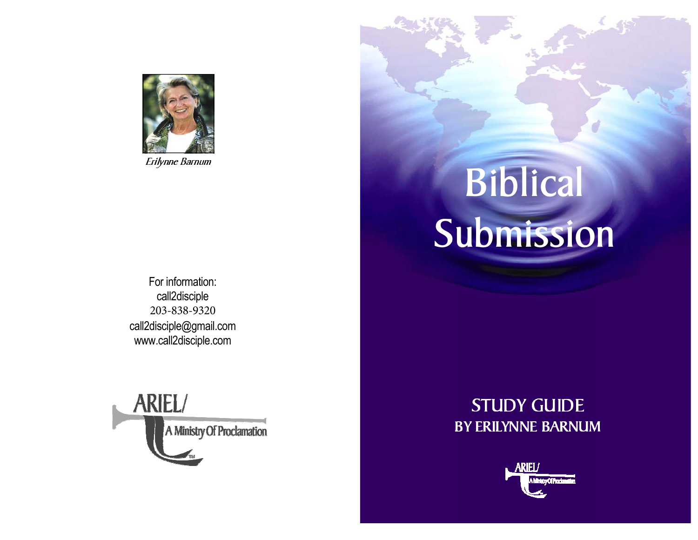

For information: call2disciple 203-838-9320 call2disciple@gmail.comwww.call2disciple.com



# Erilynne Barnum<br>Biblical Submission

# STUDY GUIDE BY ERILYNNE BARNUM

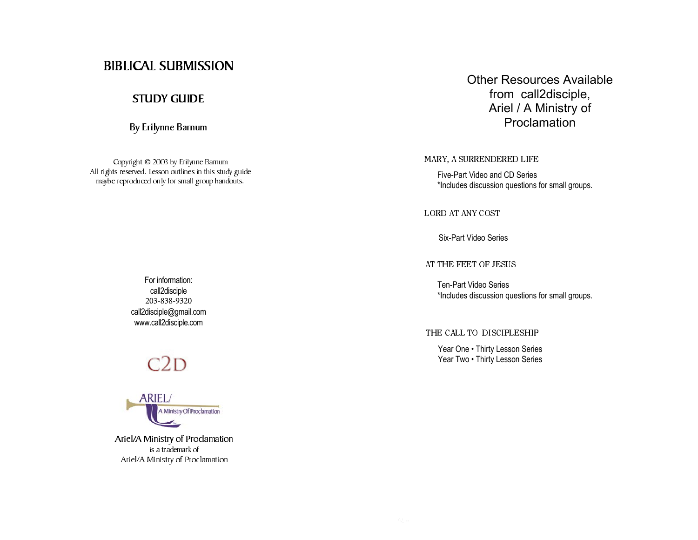# BIBLICAL SUBMISSION

# STUDY GUIDE

By Erilynne Barnum

Copyright © 2003 by Erilynne Barnum All rights reserved. Lesson outlines in this study guide maybe reproduced only for small group handouts.

Other Resources Available from call2disciple, Ariel / A Ministry of Proclamation

MARY, A SURRENDERED LIFE

Five-Part Video and CD Series \*Includes discussion questions for small groups.

LORD AT ANY COST

Six-Part Video Series

AT THE FEET OF JESUS

Ten-Part Video Series\*Includes discussion questions for small groups.

#### THE CALL TO DISCIPLESHIP

Year One • Thirty Lesson Series Year Two . Thirty Lesson Series

For information: call2disciple 203-838-9320 call2disciple@gmail.comwww.call2disciple.com

# $C2D$



Ariel/A Ministry of Proclamation is a trademark of Ariel/A Ministry of Proclamation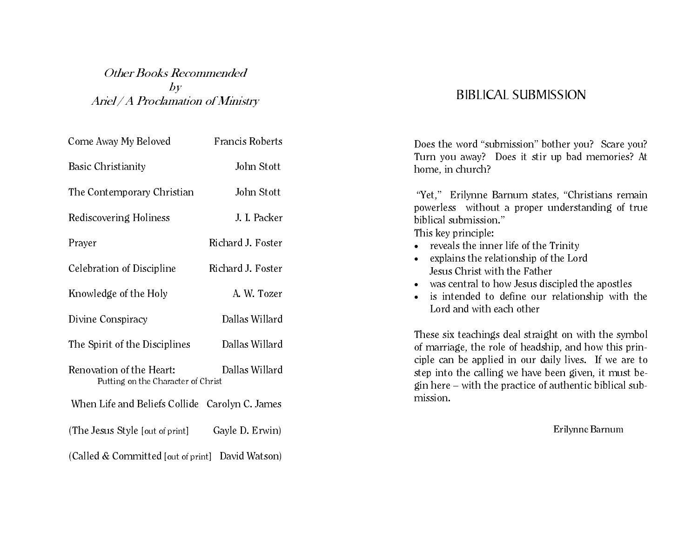# Other Books Recommended  $\mathfrak{b}$ Ariel / A Proclamation of Ministry

| Come Away My Beloved                                           | <b>Francis Roberts</b> |
|----------------------------------------------------------------|------------------------|
| <b>Basic Christianity</b>                                      | John Stott             |
| The Contemporary Christian                                     | John Stott             |
| Rediscovering Holiness                                         | J. I. Packer           |
| Prayer                                                         | Richard J. Foster      |
| Celebration of Discipline                                      | Richard J. Foster      |
| Knowledge of the Holy                                          | A. W. Tozer            |
| Divine Conspiracy                                              | Dallas Willard         |
| The Spirit of the Disciplines                                  | Dallas Willard         |
| Renovation of the Heart:<br>Putting on the Character of Christ | Dallas Willard         |
| When Life and Beliefs Collide Carolyn C. James                 |                        |
| (The Jesus Style [out of print]                                | Gayle D. Erwin)        |
| (Called & Committed [out of print] David Watson)               |                        |

# BIBLICAL SUBMISSION

Does the word "submission" bother you? Scare you? Turn you away? Does it stir up bad memories? At home, in church?

 "Yet," Erilynne Barnum states, "Christians remain powerless without a proper understanding of true biblical submission." This key principle:

- reveals the inner life of the Trinity
- explains the relationship of the Lord Jesus Christ with the Father
- was central to how Jesus discipled the apostles
- is intended to define our relationship with the Lord and with each other

These six teachings deal straight on with the symbol of marriage, the role of headship, and how this principle can be applied in our daily lives. If we are to step into the calling we have been given, it must begin here – with the practice of authentic biblical submission.

Erilynne Barnum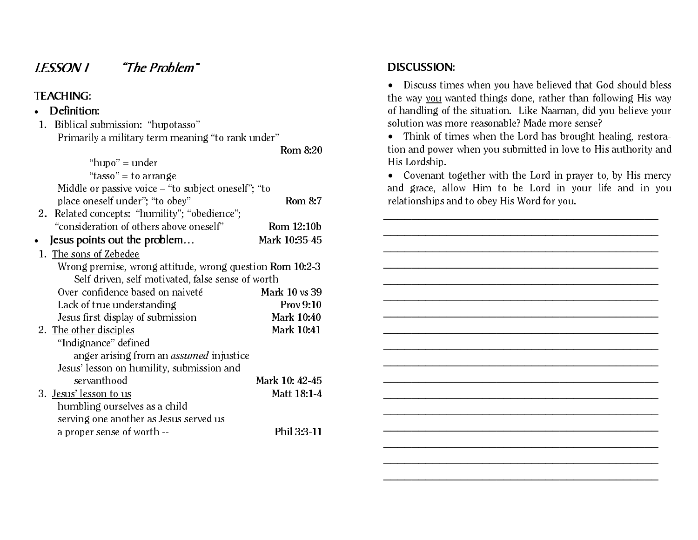# LESSON 1 "The Problem"

# TEACHING:

- Definition:
- 1. Biblical submission: "hupotasso" Primarily a military term meaning "to rank under"

Rom 8:20

| "hupo" = under                                           |                |
|----------------------------------------------------------|----------------|
| "tasso" = to arrange                                     |                |
| Middle or passive voice $-$ "to subject oneself"; "to    |                |
| place oneself under"; "to obey"                          | <b>Rom 8:7</b> |
| 2. Related concepts: "humility"; "obedience";            |                |
| "consideration of others above oneself"                  | Rom 12:10b     |
| Jesus points out the problem                             | Mark 10:35-45  |
| 1. The sons of Zebedee                                   |                |
| Wrong premise, wrong attitude, wrong question Rom 10:2-3 |                |
| Self-driven, self-motivated, false sense of worth        |                |
| Over-confidence based on naiveté                         | Mark 10 vs 39  |
| Lack of true understanding                               | Prov 9:10      |
| Jesus first display of submission                        | Mark 10:40     |
| 2. The other disciples                                   | Mark 10:41     |
| "Indignance" defined                                     |                |
| anger arising from an <i>assumed</i> injustice           |                |
| Jesus' lesson on humility, submission and                |                |
| servanthood                                              | Mark 10: 42-45 |
| 3. Jesus' lesson to us                                   | Matt 18:1-4    |
| humbling ourselves as a child                            |                |
| serving one another as Jesus served us                   |                |
| a proper sense of worth --                               | Phil 3:3-11    |

# DISCUSSION:

• Discuss times when you have believed that God should bless the way you wanted things done, rather than following His way of handling of the situation. Like Naaman, did you believe your solution was more reasonable? Made more sense?

• Think of times when the Lord has brought healing, restoration and power when you submitted in love to His authority and His Lordship.

• Covenant together with the Lord in prayer to, by His mercy and grace, allow Him to be Lord in your life and in you relationships and to obey His Word for you.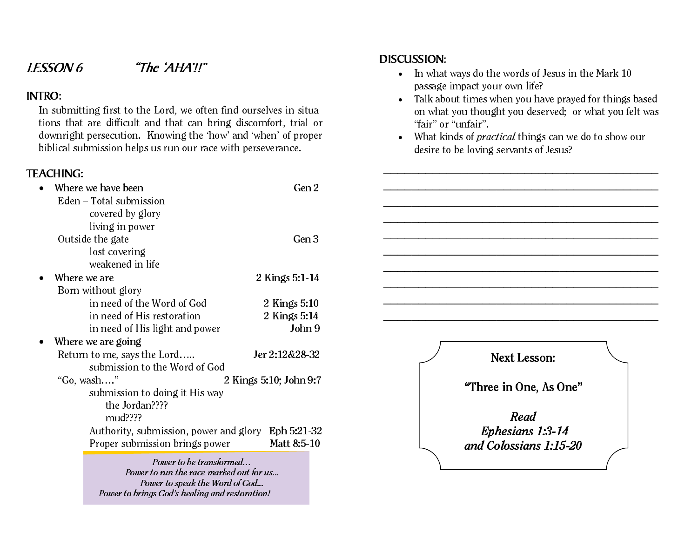# LESSON 6 "The 'AHA'!!"

# INTRO:

In submitting first to the Lord, we often find ourselves in situations that are difficult and that can bring discomfort, trial or downright persecution. Knowing the 'how' and 'when' of proper biblical submission helps us run our race with perseverance.

Power to speak the Word of God...

Power to brings God's healing and restoration!

# TEACHING:

| Where we have been                                                 | Gen 2                  |  |                        |
|--------------------------------------------------------------------|------------------------|--|------------------------|
| Eden – Total submission<br>covered by glory                        |                        |  |                        |
| living in power                                                    |                        |  |                        |
| Outside the gate                                                   | Gen 3                  |  |                        |
| lost covering                                                      |                        |  |                        |
| weakened in life                                                   |                        |  |                        |
| Where we are                                                       | 2 Kings 5:1-14         |  |                        |
| Born without glory                                                 |                        |  |                        |
| in need of the Word of God                                         | 2 Kings 5:10           |  |                        |
| in need of His restoration                                         | 2 Kings 5:14           |  |                        |
| in need of His light and power                                     | John 9                 |  |                        |
| Where we are going                                                 |                        |  |                        |
| Return to me, says the Lord<br>submission to the Word of God       | Jer 2:12&28-32         |  | <b>Next Lesson:</b>    |
| "Go, wash"<br>submission to doing it His way                       | 2 Kings 5:10; John 9:7 |  | "Three in One, As One" |
| the Jordan????                                                     |                        |  | Read                   |
| $mud$ ????                                                         |                        |  |                        |
| Authority, submission, power and glory                             | Eph 5:21-32            |  | Ephesians 1:3-14       |
| Proper submission brings power                                     | Matt 8:5-10            |  | and Colossians 1:15-20 |
| Power to be transformed<br>Power to run the race marked out for us |                        |  |                        |

DISCUSSION:

- In what ways do the words of Jesus in the Mark 10 passage impact your own life?
- Talk about times when you have prayed for things based on what you thought you deserved; or what you felt was "fair" or "unfair".
- What kinds of *practical* things can we do to show our desire to be loving servants of Jesus?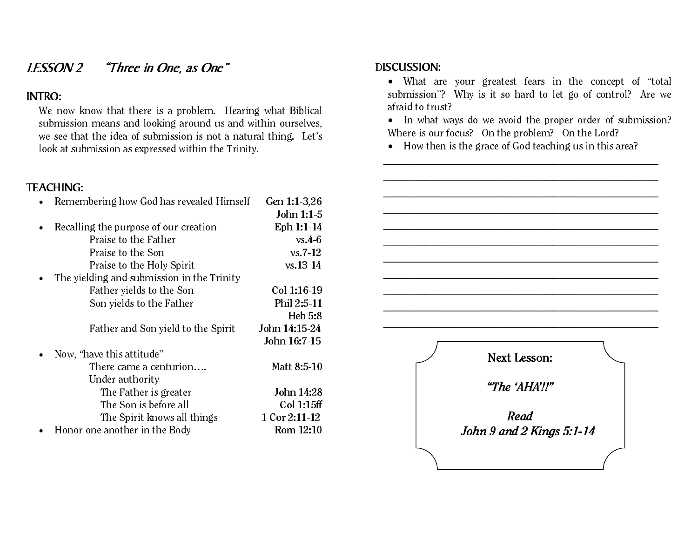# LESSON 2 "Three in One, as One"

# INTRO:

We now know that there is a problem. Hearing what Biblical submission means and looking around us and within ourselves, we see that the idea of submission is not a natural thing. Let's look at submission as expressed within the Trinity.

# TEACHING:

| Remembering how God has revealed Himself   | Gen 1:1-3,26  |
|--------------------------------------------|---------------|
|                                            | John 1:1-5    |
| Recalling the purpose of our creation      | Eph 1:1-14    |
| Praise to the Father                       | $vs.4-6$      |
| Praise to the Son                          | $vs. 7-12$    |
| Praise to the Holy Spirit                  | $vs. 13 - 14$ |
| The yielding and submission in the Trinity |               |
| Father yields to the Son                   | Col 1:16-19   |
| Son yields to the Father                   | Phil 2:5-11   |
|                                            | Heb 5:8       |
| Father and Son yield to the Spirit         | John 14:15-24 |
|                                            | John 16:7-15  |
| Now, "have this attitude"                  |               |
| There came a centurion                     | Matt 8:5-10   |
| Under authority                            |               |
| The Father is greater                      | John 14:28    |
| The Son is before all                      | Col 1:15ff    |
| The Spirit knows all things                | 1 Cor 2:11-12 |
| Honor one another in the Body              | Rom 12:10     |

# DISCUSSION:

• What are your greatest fears in the concept of "total submission"? Why is it so hard to let go of control? Are we afraid to trust?

• In what ways do we avoid the proper order of submission? Where is our focus? On the problem? On the Lord?

• How then is the grace of God teaching us in this area?

Next Lesson: "The 'AHA'!!"Read John 9 and 2 Kings 5:1-14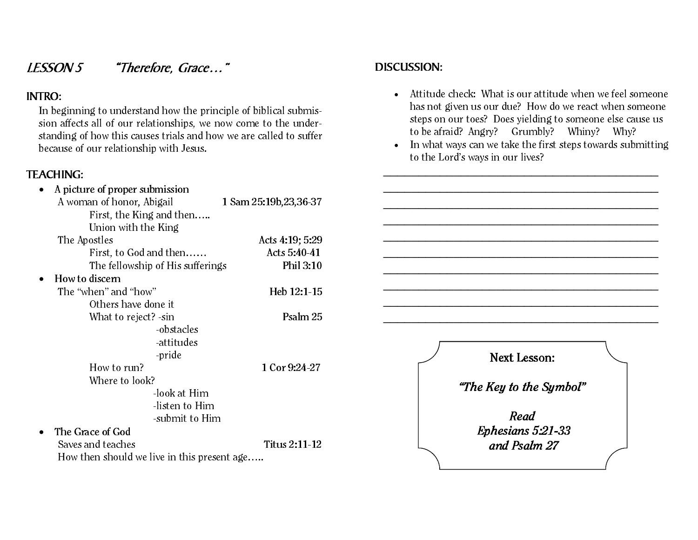# LESSON 5 "Therefore, Grace…"

# INTRO:

In beginning to understand how the principle of biblical submission affects all of our relationships, we now come to the understanding of how this causes trials and how we are called to suffer because of our relationship with Jesus.

# TEACHING:

| A picture of proper submission              |                         |
|---------------------------------------------|-------------------------|
| A woman of honor, Abigail                   | 1 Sam 25:19b, 23, 36-37 |
| First, the King and then                    |                         |
| Union with the King                         |                         |
| The Apostles                                | Acts 4:19; 5:29         |
| First, to God and then                      | Acts 5:40-41            |
| The fellowship of His sufferings            | Phil 3:10               |
| How to discern                              |                         |
| The "when" and "how"                        | Heb 12:1 15             |
| Others have done it                         |                         |
| What to reject? - sin                       | Psalm 25                |
| -obstacles                                  |                         |
| -attitudes                                  |                         |
| -pride                                      |                         |
| How to run?                                 | 1 Cor 9:24 27           |
| Where to look?                              |                         |
| -look at Him                                |                         |
| listen to Him                               |                         |
| -submit to Him                              |                         |
| The Grace of God                            |                         |
| Saves and teaches                           | Titus 2:11-12           |
| How then should we live in this present age |                         |

# DISCUSSION:

- Attitude check: What is our attitude when we feel someone has not given us our due? How do we react when someone steps on our toes? Does yielding to someone else cause us to be afraid? Angry? Grumbly? Whiny? Why?
- In what ways can we take the first steps towards submitting to the Lord's ways in our lives?

Next Lesson: "The Key to the Symbol" Read Ephesians 5:21-33 and Psalm 27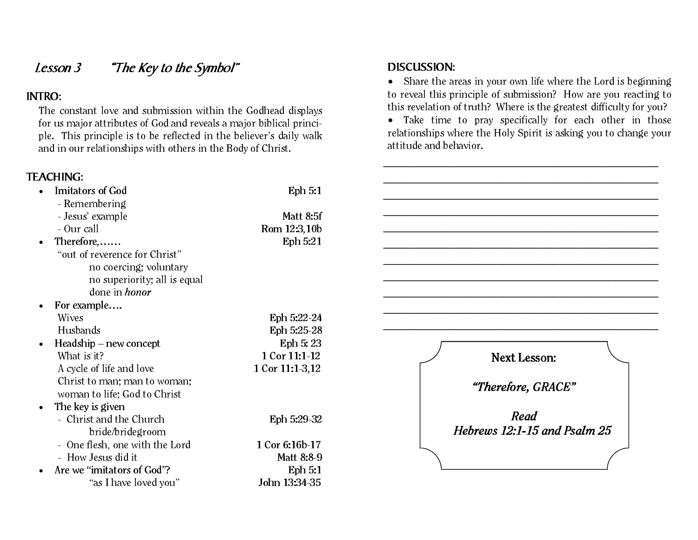# Lesson 3 "The Key to the Symbol"

# INTRO:

The constant love and submission within the Godhead displays for us major attributes of God and reveals a major biblical principle. This principle is to be reflected in the believer's daily walk and in our relationships with others in the Body of Christ.

# TEACHING:

| . L/ \\                                 |                     |                              |
|-----------------------------------------|---------------------|------------------------------|
| <b>Imitators of God</b><br>$\bullet$    | Eph 5:1             |                              |
| - Remembering                           |                     |                              |
| - Jesus' example                        | Matt 8:5f           |                              |
| - Our call                              | Rom 12:3,10b        |                              |
| Therefore,<br>$\bullet$                 | Eph 5:21            |                              |
| "out of reverence for Christ"           |                     |                              |
| no coercing; voluntary                  |                     |                              |
| no superiority; all is equal            |                     |                              |
| done in <i>honor</i>                    |                     |                              |
| For example<br>$\bullet$                |                     |                              |
| <b>Wives</b>                            | Eph 5:22-24         |                              |
| Husbands                                | Eph 5:25-28         |                              |
| $Headship$ – new concept<br>$\bullet$   | Eph 5:23            |                              |
| What is it?                             | 1 Cor 11:1-12       | <b>Next Lesson:</b>          |
| A cycle of life and love                | $1$ Cor $11:1-3,12$ |                              |
| Christ to man; man to woman;            |                     |                              |
| woman to life; God to Christ            |                     | "Therefore, GRACE"           |
| The key is given<br>$\bullet$           |                     |                              |
| - Christ and the Church                 | Eph 5:29-32         | Read                         |
| bride/bridegroom                        |                     | Hebrews 12:1-15 and Psalm 25 |
| - One flesh, one with the Lord          | 1 Cor 6:16b 17      |                              |
| - How Jesus did it                      | Matt 8:8-9          |                              |
| Are we "imitators of God"?<br>$\bullet$ | Eph 5:1             |                              |
| "as I have loved you"                   | John 13:34 35       |                              |
|                                         |                     |                              |

# DISCUSSION:

• Share the areas in your own life where the Lord is beginning to reveal this principle of submission? How are you reacting to this revelation of truth? Where is the greatest difficulty for you?

• Take time to pray specifically for each other in those relationships where the Holy Spirit is asking you to change your attitude and behavior.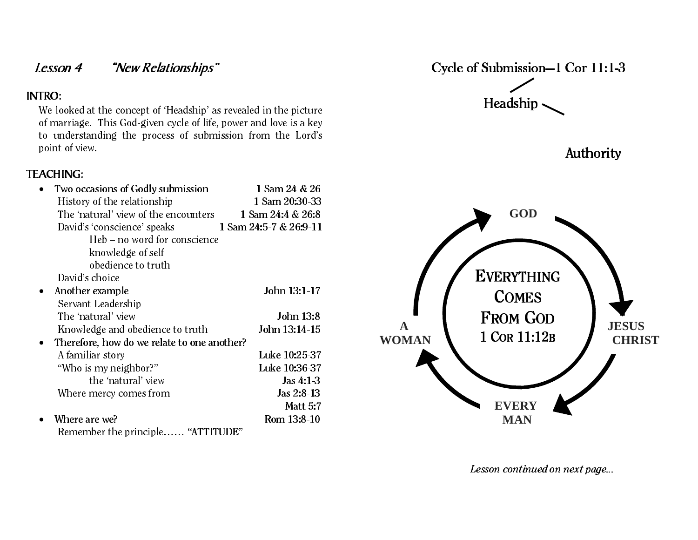# Lesson 4 "New Relationships"

# INTRO:

We looked at the concept of 'Headship' as revealed in the picture of marriage. This God-given cycle of life, power and love is a key to understanding the process of submission from the Lord's point of view.

# TEACHING:

| Two occasions of Godly submission                                                  | 1 Sam 24 & 26          |
|------------------------------------------------------------------------------------|------------------------|
| History of the relationship                                                        | 1 Sam 20:30-33         |
| The 'natural' view of the encounters                                               | 1 Sam 24:4 & 26:8      |
| David's 'conscience' speaks                                                        | 1 Sam 24:5-7 & 26:9-11 |
| Heb – no word for conscience                                                       |                        |
| knowledge of self                                                                  |                        |
| obedience to truth                                                                 |                        |
| David's choice                                                                     |                        |
| Another example                                                                    | John 13:1-17           |
| Servant Leadership                                                                 |                        |
| The 'natural' view                                                                 | John 13:8              |
| Knowledge and obedience to truth                                                   | John 13:14-15          |
| Therefore, how do we relate to one another?                                        |                        |
| A familiar story                                                                   | Luke 10:25-37          |
| "Who is my neighbor?"                                                              | Luke 10:36-37          |
| the 'natural' view                                                                 | Jas $4:1-3$            |
| Where mercy comes from                                                             | Jas 2:8-13             |
|                                                                                    | <b>Matt 5:7</b>        |
| Where are we?                                                                      | Rom 13:8-10            |
| $\mu$ a montoni in $\mathbf{B}$ $\mathbf{B}$<br>$\mathbf{D}$ 1. 1. $\mathbf{D}$ 1. |                        |

Remember the principle…… "ATTITUDE"



Lesson continued on next page...